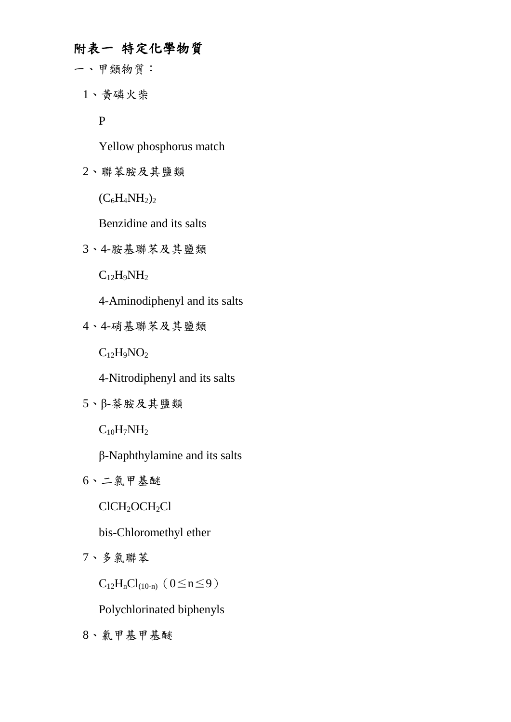## 附表一特定化學物質

- 一、甲類物質:
	- 1、黃磷火柴

P

Yellow phosphorus match

2、聯苯胺及其鹽類

 $(C_6H_4NH_2)_2$ 

Benzidine and its salts

3、4-胺基聯苯及其鹽類

 $C_{12}H_9NH_2$ 

4-Aminodiphenyl and its salts

4、4-硝基聯苯及其鹽類

 $C_{12}H_9NO_2$ 

4-Nitrodiphenyl and its salts

5、β-萘胺及其鹽類

 $C_{10}H_7NH_2$ 

β-Naphthylamine and its salts

6、二氯甲基醚

ClCH<sub>2</sub>OCH<sub>2</sub>Cl

bis-Chloromethyl ether

7、多氯聯苯

 $C_{12}H_nCl_{(10-n)}(0\leq n\leq 9)$ 

Polychlorinated biphenyls

8、氯甲基甲基醚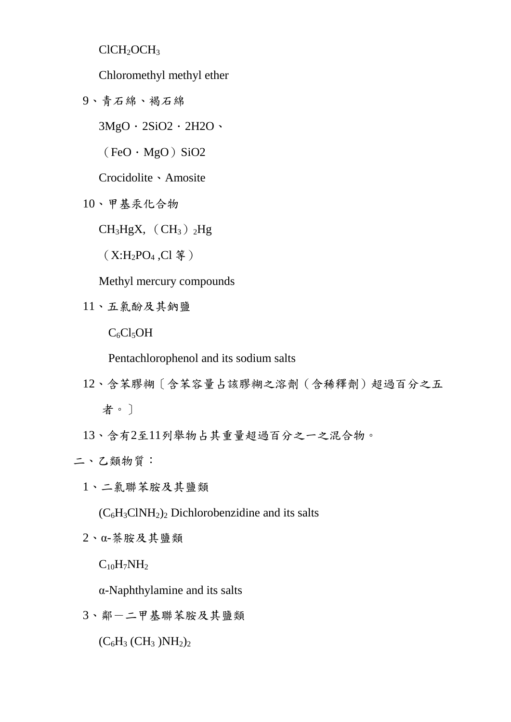ClCH<sub>2</sub>OCH<sub>3</sub>

Chloromethyl methyl ether

9、青石綿、褐石綿

 $3MgO \cdot 2SiO2 \cdot 2H2O$ 

 $(FeO \cdot MgO)$  SiO2

Crocidolite、Amosite

10、甲基汞化合物

 $CH<sub>3</sub>HgX, (CH<sub>3</sub>)<sub>2</sub>Hg$ 

(X:H2PO<sup>4</sup> ,Cl 等)

Methyl mercury compounds

11、五氯酚及其鈉鹽

 $C_6Cl_5OH$ 

Pentachlorophenol and its sodium salts

- 12、含苯膠糊〔含苯容量占該膠糊之溶劑(含稀釋劑)超過百分之五 者。〕
- 13、含有2至11列舉物占其重量超過百分之一之混合物。

二、乙類物質:

- 1、二氯聯苯胺及其鹽類
	- $(C_6H_3CINH_2)_2$  Dichlorobenzidine and its salts
- 2、α-萘胺及其鹽類

 $C_{10}H_7NH_2$ 

α-Naphthylamine and its salts

3、鄰-二甲基聯苯胺及其鹽類

 $(C_6H_3$   $(CH_3)NH_2)_2$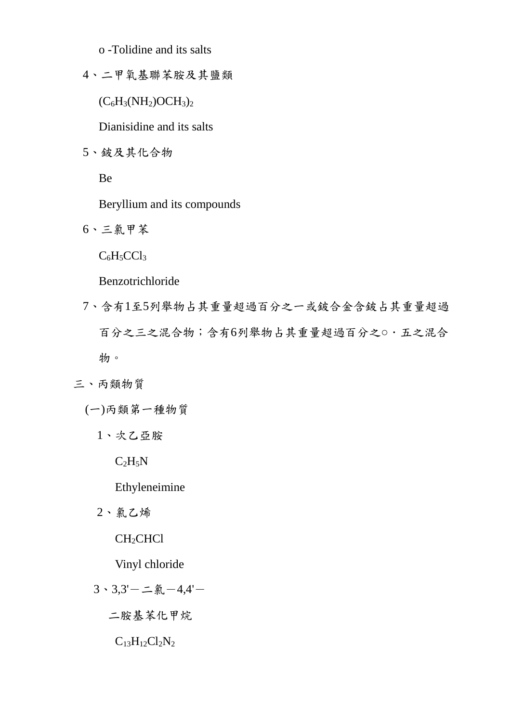o -Tolidine and its salts

4、二甲氧基聯苯胺及其鹽類

 $(C_6H_3(NH_2)OCH_3)_2$ 

Dianisidine and its salts

5、鈹及其化合物

Be

Beryllium and its compounds

6、三氯甲苯

 $C_6H_5CCl_3$ 

Benzotrichloride

- 7、含有1至5列舉物占其重量超過百分之一或鈹合金含鈹占其重量超過 百分之三之混合物;含有6列舉物占其重量超過百分之○.五之混合 物。
- 三、丙類物質
	- (一)丙類第一種物質
		- 1、次乙亞胺

 $C_2H_5N$ 

Ethyleneimine

2、氯乙烯

CH<sub>2</sub>CHCl

Vinyl chloride

 $3 \cdot 3,3'$ -二氯-4,4'-

二胺基苯化甲烷

 $C_{13}H_{12}Cl_2N_2$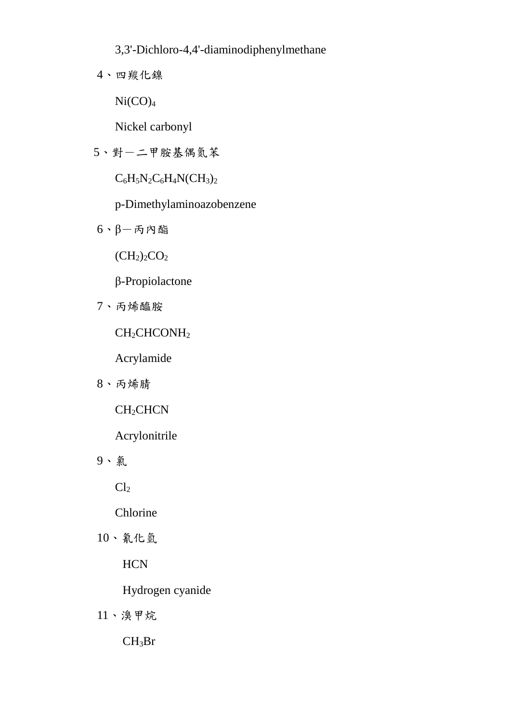3,3'-Dichloro-4,4'-diaminodiphenylmethane

4、四羰化鎳

 $Ni(CO)<sub>4</sub>$ 

Nickel carbonyl

5、對一二甲胺基偶氮苯

 $C_6H_5N_2C_6H_4N(CH_3)_2$ 

p-Dimethylaminoazobenzene

 $6.$  β-丙內酯

 $(CH<sub>2</sub>)<sub>2</sub>CO<sub>2</sub>$ 

β-Propiolactone

7、丙烯醯胺

CH<sub>2</sub>CHCONH<sub>2</sub>

Acrylamide

8、丙烯腈

CH<sub>2</sub>CHCN

Acrylonitrile

9、氯

 $Cl<sub>2</sub>$ 

Chlorine

10、氰化氫

**HCN** 

Hydrogen cyanide

11、溴甲烷

 $CH<sub>3</sub>Br$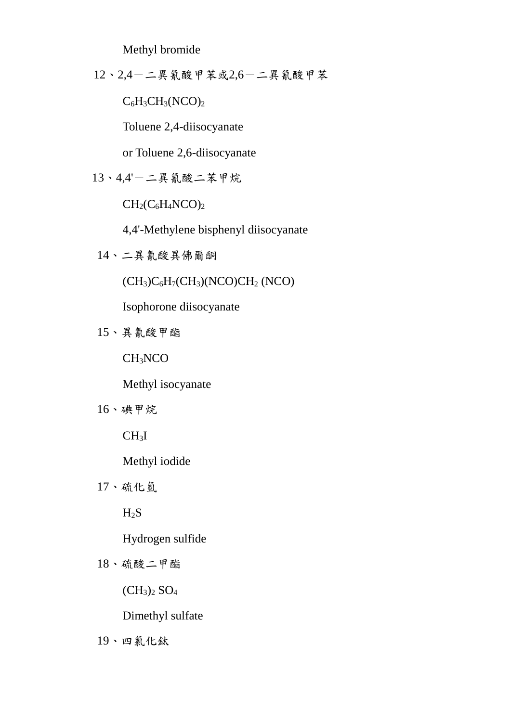Methyl bromide

12、2,4-二異氰酸甲苯或2,6-二異氰酸甲苯

 $C_6H_3CH_3(NCO)_2$ 

Toluene 2,4-diisocyanate

or Toluene 2,6-diisocyanate

$$
13 \cdot 4.4 - 1.4
$$

 $CH<sub>2</sub>(C<sub>6</sub>H<sub>4</sub>NCO)<sub>2</sub>$ 

4,4'-Methylene bisphenyl diisocyanate

14、二異氰酸異佛爾酮

 $(CH<sub>3</sub>)C<sub>6</sub>H<sub>7</sub>(CH<sub>3</sub>)(NCO)CH<sub>2</sub>(NCO)$ 

Isophorone diisocyanate

15、異氰酸甲酯

CH3NCO

Methyl isocyanate

16、碘甲烷

 $CH<sub>3</sub>I$ 

Methyl iodide

17、硫化氫

 $H_2S$ 

Hydrogen sulfide

18、硫酸二甲酯

 $(CH_3)_2$   $SO_4$ 

Dimethyl sulfate

19、四氯化鈦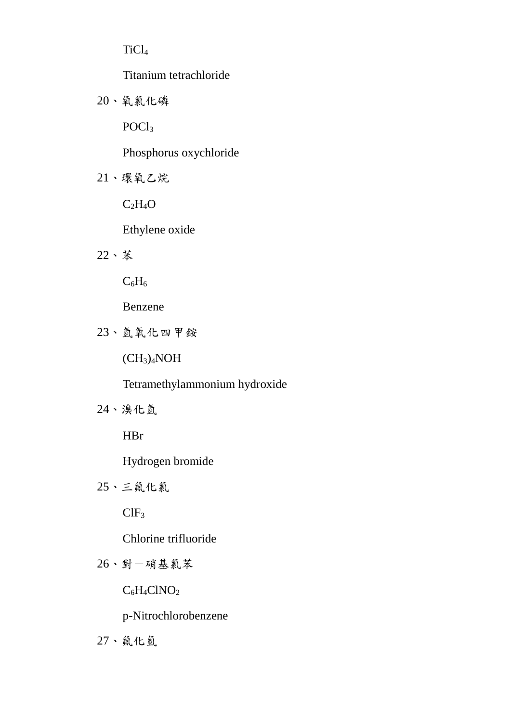TiCl<sup>4</sup>

Titanium tetrachloride

20、氧氯化磷

POCl<sup>3</sup>

Phosphorus oxychloride

21、環氧乙烷

 $C_2H_4O$ 

Ethylene oxide

22、苯

 $C_6H_6$ 

Benzene

23、氫氧化四甲銨

 $(CH_3)_4NOH$ 

Tetramethylammonium hydroxide

24、溴化氫

HBr

Hydrogen bromide

25、三氟化氯

 $CIF<sub>3</sub>$ 

Chlorine trifluoride

26、對-硝基氯苯

 $C_6H_4CINO_2$ 

p-Nitrochlorobenzene

27、氟化氫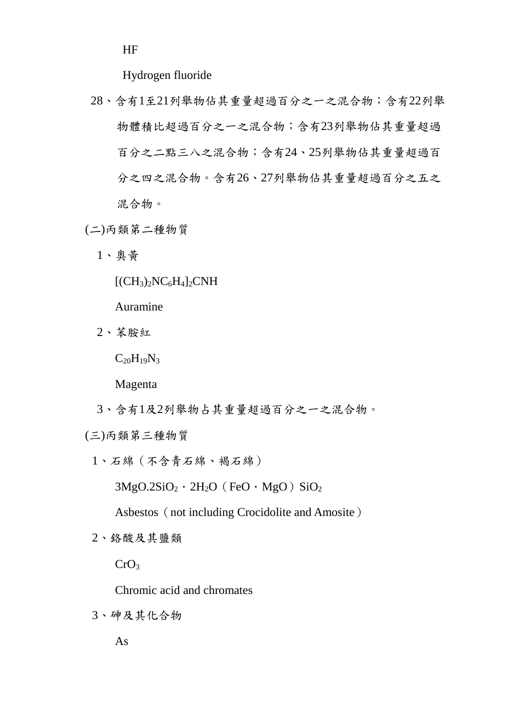HF

Hydrogen fluoride

- 28、含有1至21列舉物佔其重量超過百分之一之混合物;含有22列舉 物體積比超過百分之一之混合物;含有23列舉物佔其重量超過 百分之二點三八之混合物;含有24、25列舉物佔其重量超過百 分之四之混合物。含有26、27列舉物佔其重量超過百分之五之 混合物。
- (二)丙類第二種物質
	- 1、奧黃
		- $[({\rm CH}_{3})_{2}N C_{6}H_{4}]_{2}CNH$
		- Auramine
	- 2、苯胺紅

 $C_{20}H_{19}N_3$ 

Magenta

3、含有1及2列舉物占其重量超過百分之一之混合物。

(三)丙類第三種物質

1、石綿(不含青石綿、褐石綿)

 $3MgO.2SiO<sub>2</sub> \cdot 2H<sub>2</sub>O$  (FeO  $\cdot$  MgO) SiO<sub>2</sub>

Asbestos (not including Crocidolite and Amosite)

2、鉻酸及其鹽類

 $CrO<sub>3</sub>$ 

Chromic acid and chromates

3、砷及其化合物

As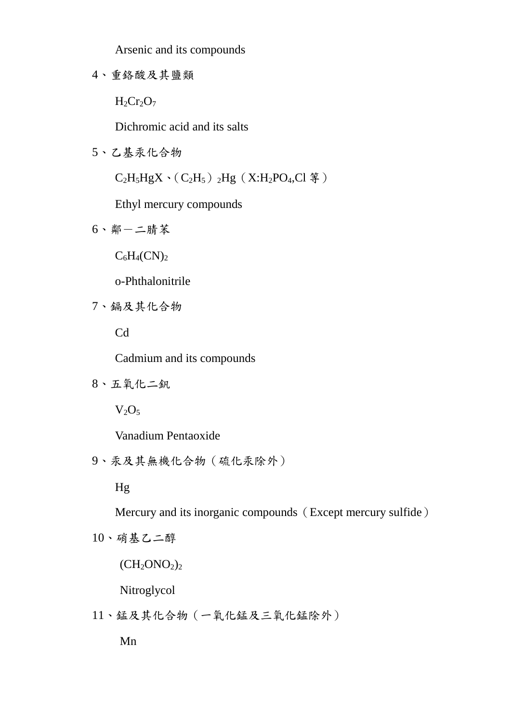Arsenic and its compounds

4、重鉻酸及其鹽類

 $H_2Cr_2O_7$ 

Dichromic acid and its salts

5、乙基汞化合物

 $C_2H_5HgX \cdot (C_2H_5)$ <sub>2</sub>Hg (X:H<sub>2</sub>PO<sub>4</sub>,Cl 等)

Ethyl mercury compounds

6、鄰-二腈苯

 $C_6H_4(CN)_2$ 

o-Phthalonitrile

7、鎘及其化合物

Cd

Cadmium and its compounds

8、五氧化二釩

 $V_2O_5$ 

Vanadium Pentaoxide

9、汞及其無機化合物(硫化汞除外)

Hg

Mercury and its inorganic compounds (Except mercury sulfide)

10、硝基乙二醇

 $(CH_2ONO_2)_2$ 

Nitroglycol

11、錳及其化合物(一氧化錳及三氧化錳除外)

Mn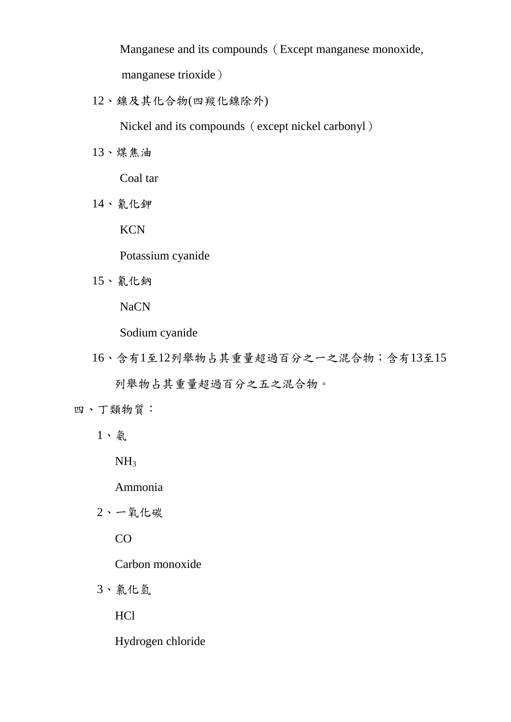Manganese and its compounds (Except manganese monoxide, manganese trioxide)

12、鎳及其化合物(四羰化鎳除外)

Nickel and its compounds (except nickel carbonyl)

13、煤焦油

Coal tar

14、氰化鉀

**KCN** 

Potassium cyanide

15、氰化鈉

NaCN

Sodium cyanide

16、含有1至12列舉物占其重量超過百分之一之混合物;含有13至15 列舉物占其重量超過百分之五之混合物。

四、丁類物質:

1、氨

 $NH<sub>3</sub>$ 

Ammonia

2、一氧化碳

CO

Carbon monoxide

3、氯化氫

HCl

Hydrogen chloride